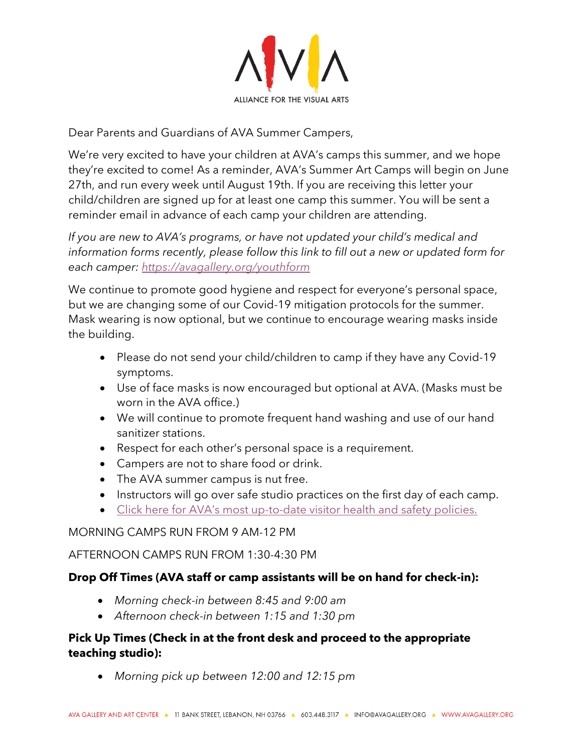

Dear Parents and Guardians of AVA Summer Campers,

We're very excited to have your children at AVA's camps this summer, and we hope they're excited to come! As a reminder, AVA's Summer Art Camps will begin on June 27th, and run every week until August 19th. If you are receiving this letter your child/children are signed up for at least one camp this summer. You will be sent a reminder email in advance of each camp your children are attending.

*If you are new to AVA's programs, or have not updated your child's medical and information forms recently, please follow this link to fill out a new or updated form for each camper:<https://avagallery.org/youthform>*

We continue to promote good hygiene and respect for everyone's personal space, but we are changing some of our Covid-19 mitigation protocols for the summer. Mask wearing is now optional, but we continue to encourage wearing masks inside the building.

- Please do not send your child/children to camp if they have any Covid-19 symptoms.
- Use of face masks is now encouraged but optional at AVA. (Masks must be worn in the AVA office.)
- We will continue to promote frequent hand washing and use of our hand sanitizer stations.
- Respect for each other's personal space is a requirement.
- Campers are not to share food or drink.
- The AVA summer campus is nut free.
- Instructors will go over safe studio practices on the first day of each camp.
- Click here for AVA's most up[-to-date visitor health and safety policies.](https://avagallery.org/about-ava/visitor-guidelines/)

## MORNING CAMPS RUN FROM 9 AM-12 PM

AFTERNOON CAMPS RUN FROM 1:30-4:30 PM

## **Drop Off Times (AVA staff or camp assistants will be on hand for check-in):**

- *Morning check-in between 8:45 and 9:00 am*
- *Afternoon check-in between 1:15 and 1:30 pm*

## **Pick Up Times (Check in at the front desk and proceed to the appropriate teaching studio):**

• *Morning pick up between 12:00 and 12:15 pm*